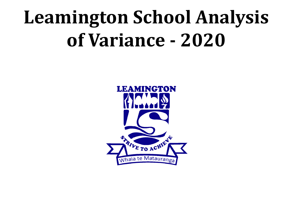# **Leamington School Analysis of Variance - 2020**

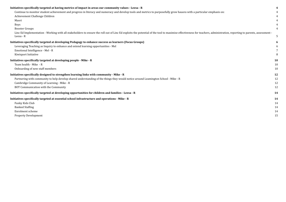#### **Initiatives specifically targeted at having metrics [of impact in areas our community values - Leesa -](#page-3-0) R [4](#page-3-0)**

#### **[Initiatives specifically targeted at developing Pedagogy](#page-5-0) to enhance success as learners (Focus Groups) [6](#page-5-0)**

#### **[Initiatives specifically targeted at developing people](#page-9-0) - Mike - R [10](#page-9-0)**

| iatives specifically targeted at having metrics of impact in areas our community values - leesa - R                                                                                                                                 |    |
|-------------------------------------------------------------------------------------------------------------------------------------------------------------------------------------------------------------------------------------|----|
| Continue to monitor student achievement and progress in literacy and numeracy and develop tools and metrics to purposefully grow hauora with a particular emphasis on:                                                              |    |
| Achievement Challenge Children                                                                                                                                                                                                      |    |
| Maori                                                                                                                                                                                                                               |    |
| <b>Boys</b>                                                                                                                                                                                                                         |    |
| <b>Booster Groups</b>                                                                                                                                                                                                               |    |
| Linc Ed Implementation - Working with all stakeholders to ensure the roll out of Linc Ed exploits the potential of the tool to maximise effectiveness for teachers, administration, reporting to parents, assessment -<br>Leesa - R | 5  |
| iatives specifically targeted at developing Pedagogy to enhance success as learners (Focus Groups)                                                                                                                                  |    |
| Leveraging Teaching as Inquiry to enhance and extend learning opportunities - Mel                                                                                                                                                   |    |
| Emotional Intelligence - Mel - R                                                                                                                                                                                                    |    |
| Kiwisport Initiative                                                                                                                                                                                                                |    |
| iatives specifically targeted at developing people - Mike - R                                                                                                                                                                       | 10 |
| Team health - Mike - R                                                                                                                                                                                                              | 10 |
| Onboarding of new staff members                                                                                                                                                                                                     | 10 |
| iatives specifically designed to strengthen learning links with community - Mike - R                                                                                                                                                | 12 |
| Partnering with community to help develop shared understanding of the things they would notice around Leamington School - Mike - R                                                                                                  | 12 |
| Cambridge Community of Learning - Mike - R                                                                                                                                                                                          | 12 |
| BOT Communication with the Community                                                                                                                                                                                                | 12 |
| iatives specifically targeted at developing opportunities for children and families - Leesa - R                                                                                                                                     | 14 |
| iatives specifically targeted at essential school infrastructure and operations - Mike - R                                                                                                                                          | 14 |
| Funky Kids Club                                                                                                                                                                                                                     | 14 |
| <b>Banked Staffing</b>                                                                                                                                                                                                              | 14 |
| Enrolment scheme                                                                                                                                                                                                                    | 14 |
| <b>Property Development</b>                                                                                                                                                                                                         | 15 |
|                                                                                                                                                                                                                                     |    |

#### **[Initiatives specifically designed to strengthen learning](#page-11-0) links with community - Mike - R [12](#page-11-0)**

#### **[Initiatives specifically targeted at developing opportunities](#page-13-0) for children and families - Leesa - R [14](#page-13-0)**

#### **[Initiatives specifically targeted at essential school](#page-13-1) infrastructure and operations - Mike - R [14](#page-13-1)**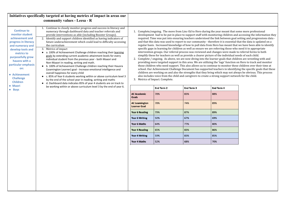<span id="page-3-4"></span><span id="page-3-3"></span><span id="page-3-2"></span><span id="page-3-1"></span><span id="page-3-0"></span>

|                                                                                                                                                                                                                                                                                                                                                                                                                                                                                                                                                                                                                                                                                                                                                                                                                                                                                                                                                                                                                                                                                                                                                                                                                                                                                                         | Initiatives specifically targeted at having metrics of impact in areas our |                                                                                                                                                                                                                                                                                                                                                                                                                                                                                                                                                                                                                                                                                                                                                                                                                                                                                                                                                                                                                                                                                                                                                                                                                                                                                                                                                                                                                                                                                                                                                                                                                                                  |                   |                   |                   |  |
|---------------------------------------------------------------------------------------------------------------------------------------------------------------------------------------------------------------------------------------------------------------------------------------------------------------------------------------------------------------------------------------------------------------------------------------------------------------------------------------------------------------------------------------------------------------------------------------------------------------------------------------------------------------------------------------------------------------------------------------------------------------------------------------------------------------------------------------------------------------------------------------------------------------------------------------------------------------------------------------------------------------------------------------------------------------------------------------------------------------------------------------------------------------------------------------------------------------------------------------------------------------------------------------------------------|----------------------------------------------------------------------------|--------------------------------------------------------------------------------------------------------------------------------------------------------------------------------------------------------------------------------------------------------------------------------------------------------------------------------------------------------------------------------------------------------------------------------------------------------------------------------------------------------------------------------------------------------------------------------------------------------------------------------------------------------------------------------------------------------------------------------------------------------------------------------------------------------------------------------------------------------------------------------------------------------------------------------------------------------------------------------------------------------------------------------------------------------------------------------------------------------------------------------------------------------------------------------------------------------------------------------------------------------------------------------------------------------------------------------------------------------------------------------------------------------------------------------------------------------------------------------------------------------------------------------------------------------------------------------------------------------------------------------------------------|-------------------|-------------------|-------------------|--|
|                                                                                                                                                                                                                                                                                                                                                                                                                                                                                                                                                                                                                                                                                                                                                                                                                                                                                                                                                                                                                                                                                                                                                                                                                                                                                                         | community values - Leesa - R                                               |                                                                                                                                                                                                                                                                                                                                                                                                                                                                                                                                                                                                                                                                                                                                                                                                                                                                                                                                                                                                                                                                                                                                                                                                                                                                                                                                                                                                                                                                                                                                                                                                                                                  |                   |                   |                   |  |
| Continue to closely monitor progress and success in literacy and<br><b>Continue to</b><br>numeracy through dashboard data and teacher referrals and<br>monitor student<br>provide interventions as able (including Booster Groups).<br>achievement and<br>2. Identify and support children identified as having indicators of<br>future underachievement which could lead to difficulty accessing<br>progress in literacy<br>the curriculum<br>and numeracy and<br>3. Metrics of impact<br>develop tools and<br>• a. 100% of Achievement Challenge children reaching their learning<br>metrics to<br>goals by extending current academic attainment levels for every<br>purposefully grow<br>individual student from the previous year - both Maaori and<br>hauora with a<br>Non-Maaori in reading, writing and math.<br>particular emphasis<br>• b. 100% of Achievement Challenge children reaching their Hauora<br>on:<br>(Leamington Learner) goal - Increase emotional intelligence and<br>overall happiness for every child<br>• Achievement<br>c. 85% of Year 6 students working within or above curriculum level 3<br><b>Challenge</b><br>by the end of the school year in reading, writing and maths<br><b>Children</b><br>• d. Dashboard data indicates 85% of year 4 students are on track to |                                                                            | Complete/ongoing. The move from Linc-Ed to Hero during the year meant that some more professional<br>development had to be put in place to support staff with monitoring children and accessing the information they<br>required. Time was put into ensuring teachers understood the link between goal setting and progressions data -<br>and that this data was used to report to our community - therefore it is essential that the data is updated on a<br>regular basis. Increased knowledge of how to pull data from Hero has meant that we have been able to identify<br>specific gaps in learning for children as well as ensure we are referring those who need it to appropriate<br>intervention groups. Our referral process was reviewed and changes were made to referral forms to both<br>simplify these for teachers as well as provide a clearer picture of the individual needs of each child.<br>2. Complete / ongoing. As above, we are now diving into the learner goals that children are wrestling with and<br>providing more targeted support in this area. We are utilizing the 'tags' function on Hero to track and monitor<br>those children who need support. This also allows us to continue to monitor these children over their time at<br>school. Our Achievement Challenge Document has supported teachers in identifying the specific goals that these<br>children are working on and also the strengths that they bring which may not always be obvious. This process<br>also includes voice from the child and caregivers to create a strong support network for the child.<br>3. Metrics of Impact. Complete. |                   |                   |                   |  |
| • Maori<br>• Boys                                                                                                                                                                                                                                                                                                                                                                                                                                                                                                                                                                                                                                                                                                                                                                                                                                                                                                                                                                                                                                                                                                                                                                                                                                                                                       | be working within or above curriculum level 3 by the end of year 6.        |                                                                                                                                                                                                                                                                                                                                                                                                                                                                                                                                                                                                                                                                                                                                                                                                                                                                                                                                                                                                                                                                                                                                                                                                                                                                                                                                                                                                                                                                                                                                                                                                                                                  | <b>End Term 2</b> | <b>End Term 3</b> | <b>End Term 4</b> |  |
|                                                                                                                                                                                                                                                                                                                                                                                                                                                                                                                                                                                                                                                                                                                                                                                                                                                                                                                                                                                                                                                                                                                                                                                                                                                                                                         |                                                                            | <b>AC Academic</b><br><b>Goals</b>                                                                                                                                                                                                                                                                                                                                                                                                                                                                                                                                                                                                                                                                                                                                                                                                                                                                                                                                                                                                                                                                                                                                                                                                                                                                                                                                                                                                                                                                                                                                                                                                               | 78%               | 83%               | 88%               |  |
|                                                                                                                                                                                                                                                                                                                                                                                                                                                                                                                                                                                                                                                                                                                                                                                                                                                                                                                                                                                                                                                                                                                                                                                                                                                                                                         |                                                                            | <b>AC Leamington</b><br><b>Learner Goal</b>                                                                                                                                                                                                                                                                                                                                                                                                                                                                                                                                                                                                                                                                                                                                                                                                                                                                                                                                                                                                                                                                                                                                                                                                                                                                                                                                                                                                                                                                                                                                                                                                      | 78%               | 74%               | 89%               |  |
|                                                                                                                                                                                                                                                                                                                                                                                                                                                                                                                                                                                                                                                                                                                                                                                                                                                                                                                                                                                                                                                                                                                                                                                                                                                                                                         |                                                                            | <b>Year 6 Reading</b>                                                                                                                                                                                                                                                                                                                                                                                                                                                                                                                                                                                                                                                                                                                                                                                                                                                                                                                                                                                                                                                                                                                                                                                                                                                                                                                                                                                                                                                                                                                                                                                                                            | 79%               | 87%               | 89%               |  |
|                                                                                                                                                                                                                                                                                                                                                                                                                                                                                                                                                                                                                                                                                                                                                                                                                                                                                                                                                                                                                                                                                                                                                                                                                                                                                                         |                                                                            | Year 6 Writing                                                                                                                                                                                                                                                                                                                                                                                                                                                                                                                                                                                                                                                                                                                                                                                                                                                                                                                                                                                                                                                                                                                                                                                                                                                                                                                                                                                                                                                                                                                                                                                                                                   | 50%               | 67%               | 69%               |  |
|                                                                                                                                                                                                                                                                                                                                                                                                                                                                                                                                                                                                                                                                                                                                                                                                                                                                                                                                                                                                                                                                                                                                                                                                                                                                                                         |                                                                            | <b>Year 6 Maths</b>                                                                                                                                                                                                                                                                                                                                                                                                                                                                                                                                                                                                                                                                                                                                                                                                                                                                                                                                                                                                                                                                                                                                                                                                                                                                                                                                                                                                                                                                                                                                                                                                                              | 64%               | 77%               | 80%               |  |
|                                                                                                                                                                                                                                                                                                                                                                                                                                                                                                                                                                                                                                                                                                                                                                                                                                                                                                                                                                                                                                                                                                                                                                                                                                                                                                         |                                                                            | <b>Year 4 Reading</b>                                                                                                                                                                                                                                                                                                                                                                                                                                                                                                                                                                                                                                                                                                                                                                                                                                                                                                                                                                                                                                                                                                                                                                                                                                                                                                                                                                                                                                                                                                                                                                                                                            | 65%               | 83%               | 86%               |  |
|                                                                                                                                                                                                                                                                                                                                                                                                                                                                                                                                                                                                                                                                                                                                                                                                                                                                                                                                                                                                                                                                                                                                                                                                                                                                                                         |                                                                            | <b>Year 4 Writing</b>                                                                                                                                                                                                                                                                                                                                                                                                                                                                                                                                                                                                                                                                                                                                                                                                                                                                                                                                                                                                                                                                                                                                                                                                                                                                                                                                                                                                                                                                                                                                                                                                                            | 59%               | 83%               | 85%               |  |
|                                                                                                                                                                                                                                                                                                                                                                                                                                                                                                                                                                                                                                                                                                                                                                                                                                                                                                                                                                                                                                                                                                                                                                                                                                                                                                         |                                                                            | Year 4 Maths                                                                                                                                                                                                                                                                                                                                                                                                                                                                                                                                                                                                                                                                                                                                                                                                                                                                                                                                                                                                                                                                                                                                                                                                                                                                                                                                                                                                                                                                                                                                                                                                                                     | 52%               | 68%               | 70%               |  |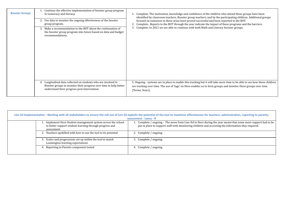<span id="page-4-0"></span>

| <b>Booster Groups</b> | Continue the effective implementation of booster group program<br>in numeracy and literacy.<br>Use data to monitor the ongoing effectiveness of the booster<br>2.<br>group program.<br>Make a recommendation to the BOT about the continuation of<br>3.<br>the booster group program into future based on data and budget<br>recommendations. | Complete. The motivation, knowledge and confidence of the children who attend these groups have been<br>identified by classroom teachers, Booster group teachers, and by the participating children. Additional groups<br>focused on extension in these areas have proved successful and been reported to the BOT.<br>Complete. Reports to the BOT through the year indicate the impact of these programs and the barriers.<br>Complete. In 2021 we are able to continue with both Math and Literacy booster groups.<br>3. |
|-----------------------|-----------------------------------------------------------------------------------------------------------------------------------------------------------------------------------------------------------------------------------------------------------------------------------------------------------------------------------------------|----------------------------------------------------------------------------------------------------------------------------------------------------------------------------------------------------------------------------------------------------------------------------------------------------------------------------------------------------------------------------------------------------------------------------------------------------------------------------------------------------------------------------|
|                       | Longitudinal data collected on students who are involved in<br>Booster groups to monitor their progress over time to help better<br>understand their progress post intervention.                                                                                                                                                              | 5. Ongoing - systems are in place to enable this tracking but it will take more time to be able to see how these child<br>are tracking over time. The use of 'tags' on Hero enables us to form groups and monitor these groups over time<br>(Terms, Years).                                                                                                                                                                                                                                                                |

<span id="page-4-1"></span>

|                                                                                                                                        | assessment - Leesa - R                                                                                                                                                                                              |
|----------------------------------------------------------------------------------------------------------------------------------------|---------------------------------------------------------------------------------------------------------------------------------------------------------------------------------------------------------------------|
| 1. Implement Hero Student management system across the school<br>to better support student learning through progress and<br>assessment | 1. Complete / ongoing - The move from Linc-Ed to Hero during the year meant that some more support had to be<br>put in place to support staff with monitoring children and accessing the information they required. |
| 2. Teachers upskilled with how to use the tool to its potential                                                                        | 2. Complete / ongoing                                                                                                                                                                                               |
| 3. Scales and progressions set up within the tool to match<br>Leamington learning expectations                                         | 3. Complete / ongoing                                                                                                                                                                                               |
| 4. Reporting to Parents component tested                                                                                               | 4. Complete / ongoing                                                                                                                                                                                               |

ke more time to be able to see how these children roups and monitor these groups over time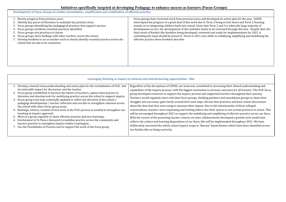## **Initiatives specifically targeted at developing Pedagogy to enhance success as learners (Focus Groups)**

<span id="page-5-0"></span>

| Development of Focus Groups to enable consolidation, amplification and mobilisation of effective practice                                                                                                                                                                                                                                                                                                                                                                                                                   |                                                                                                                                                                                                                                                                                                                                                                                                                                                                               |
|-----------------------------------------------------------------------------------------------------------------------------------------------------------------------------------------------------------------------------------------------------------------------------------------------------------------------------------------------------------------------------------------------------------------------------------------------------------------------------------------------------------------------------|-------------------------------------------------------------------------------------------------------------------------------------------------------------------------------------------------------------------------------------------------------------------------------------------------------------------------------------------------------------------------------------------------------------------------------------------------------------------------------|
| 1. Review progress from previous years<br>2. Identify key pieces of literature to underpin key practice areas<br>3. Focus groups identifying key pedagogical practices that support success<br>Focus groups synthesis essential practices identified<br>4.<br>Focus groups test practices in classes<br>Ⴢ.<br>6. Focus groups share findings with other teachers across the school<br>7. Develop booklets to act as teacher tools to clearly identify essential practice across the<br>school that we aim to be consistent. | Focus groups have reviewed work from previous years and develop<br>interrupted the progress of a great deal of this work due to Term 2<br>mainly on re-integrating children back into school. Given that Term<br>development occurs, the development of this initiative needs to be<br>final result of Kookiri Ako booklets being developed, reviewed and<br>something the team should be proud of. Focus in 2021 now shifts t<br>effective practice these booklets describe. |
|                                                                                                                                                                                                                                                                                                                                                                                                                                                                                                                             |                                                                                                                                                                                                                                                                                                                                                                                                                                                                               |

<span id="page-5-1"></span>

|                                                                                                                                                                                                                                                                                                                                                                                                                                                                                                                                                                                                                                                                                                                                                                                                                                                                                                                                                                                                                                     | Leveraging Teaching as Inquiry to enhance and extend learning opportunities - Mel                                                                                                                                                                                                                                                                                                                                                                                                                                                                                                                                                                                                                                                                                                                                                                                                                         |
|-------------------------------------------------------------------------------------------------------------------------------------------------------------------------------------------------------------------------------------------------------------------------------------------------------------------------------------------------------------------------------------------------------------------------------------------------------------------------------------------------------------------------------------------------------------------------------------------------------------------------------------------------------------------------------------------------------------------------------------------------------------------------------------------------------------------------------------------------------------------------------------------------------------------------------------------------------------------------------------------------------------------------------------|-----------------------------------------------------------------------------------------------------------------------------------------------------------------------------------------------------------------------------------------------------------------------------------------------------------------------------------------------------------------------------------------------------------------------------------------------------------------------------------------------------------------------------------------------------------------------------------------------------------------------------------------------------------------------------------------------------------------------------------------------------------------------------------------------------------------------------------------------------------------------------------------------------------|
| 1. Develop a shared vision, understanding and action plan for the revitalization of PLIC and<br>its noticeable impact for the learner and the teacher.<br>2. Focus group established to harness the talents of teachers, capture best practice in<br>literature and develop tools for mobilising practice across the school to support inquiry.<br>3. Focus group road map continually updated to reflect the direction of the school /<br>pedagogy developments / teacher reflection and use this to strengthen cohesion across<br>the school with other Focus group areas.<br>4. Redesign, refocus, creation of new tools in the PLIC process as needed to strengthen our<br>teaching as inquiry approach.<br>5. Meet as a group regularly to share effective practise and new learnings.<br>6. Involvement in Te Puna o Kemureti to mobilise practice across the community and<br>harness practice to strengthen Inquiry within Leamington.<br>7. Use the Possibilities of Practice tool to support the work of the focus group. | Regardless of the disruptions of COVID, our team was committed to increased<br>capabilities of the inquiry process; with the biggest motivation to increa<br>group developed resources to support the inquiry process and supporte<br>Teachers would regularly meet with their focus groups, thinking partne<br>struggles and successes, gain clarity around their next steps, discuss best<br>about the data that they were using to measure their impact. Due to the<br>conversations, teachers were requesting and inviting others into their s<br>will be encouraged throughout 2021 to support the mobilising and amp<br>With the review of the practising teacher criteria, we have collaborative<br>reflects the culture and learning dispositions of our Kura; this will be im<br>deliberately narrowed the whole school inquiry scope to 'literacy' based<br>our Kaahui Ako as being a priority. |

ped an action plan for the year. COVID being in lock down and Term 3 focusing n 2 and 3 is when the large majority of reviewed through this lens. Despite that, the ready for implementation for 2021 is to solidifying, amplifying and mobilising the

reasing their shared understanding and ase outcomes for all learners. The PLIC focus ed teachers throughout their journey. ers and smackdown groups to share their st practices and have robust discussions e intentionality of these collegial spaces to see certain practices in action. This plifying of effective practice across our Kura. ely developed a growth cycle model that nplemented throughout 2021. We have d themes which have been identified across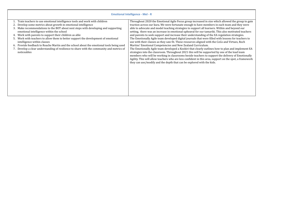### **Emotional Intelligence - Mel - R**

<span id="page-6-0"></span>

| Train teachers to use emotional intelligence tools and work with children<br>Develop some metrics about growth in emotional intelligence<br>Make recommendations to the BOT about next steps with developing and supporting<br>3.<br>emotional intelligence within the school<br>4. Work with parents to support their children as able<br>Work with teachers to allow them to better support the development of emotional<br>Ⴢ.<br>intelligence within classes<br>6. Provide feedback to Roache Martin and the school about the emotional tools being used<br>7. Develop a clear understanding of resilience to share with the community and metrics of<br>noticeables | Throughout 2020 the Emotional Agile Focus group increased in size which allowed the group to gain<br>traction across our kura. We were fortunate enough to have members in each team and they were<br>able to advocate and model teaching strategies to support all learners. Within and beyond our<br>setting, there was an increase in emotional upheaval for our tamariki. This also motivated teachers<br>and parents to seek support and increase their understanding of the EA regulation strategies.<br>The Emotionally Agile team developed digital journals that were filled with lessons for teachers to<br>use with their classes as they saw fit. These resources aligned with the CoGs and Virtues, Roch<br>Martins' Emotional Competencies and New Zealand Curriculum.<br>The Emotionally Agile team developed a Kookiri that clearly outlines how to plan and implement EA<br>strategies into the classroom. Throughout 2021 this will be supported by one of the lead team<br>members who will be working in classrooms beside teachers to support the delivery of Emotionally<br>Agility. This will allow teachers who are less confident in this area, support on the spot, a framework<br>they can use/modify and the depth that can be explored with the kids. |
|-------------------------------------------------------------------------------------------------------------------------------------------------------------------------------------------------------------------------------------------------------------------------------------------------------------------------------------------------------------------------------------------------------------------------------------------------------------------------------------------------------------------------------------------------------------------------------------------------------------------------------------------------------------------------|------------------------------------------------------------------------------------------------------------------------------------------------------------------------------------------------------------------------------------------------------------------------------------------------------------------------------------------------------------------------------------------------------------------------------------------------------------------------------------------------------------------------------------------------------------------------------------------------------------------------------------------------------------------------------------------------------------------------------------------------------------------------------------------------------------------------------------------------------------------------------------------------------------------------------------------------------------------------------------------------------------------------------------------------------------------------------------------------------------------------------------------------------------------------------------------------------------------------------------------------------------------------------------|
|                                                                                                                                                                                                                                                                                                                                                                                                                                                                                                                                                                                                                                                                         |                                                                                                                                                                                                                                                                                                                                                                                                                                                                                                                                                                                                                                                                                                                                                                                                                                                                                                                                                                                                                                                                                                                                                                                                                                                                                    |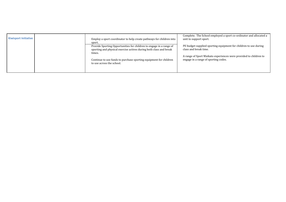Complete. The School emplo yed a sport co-ordinator and allocated a

PE budget supplied sporting equipment for children to use during

A range of Sport Waikato experiences were provided to children to

<span id="page-7-0"></span>

| <b>Kiwisport Initiative</b> | Employ a sport coordinator to help create pathways for children into                           | Complete. The School employed a s<br>unit to support sport. |
|-----------------------------|------------------------------------------------------------------------------------------------|-------------------------------------------------------------|
|                             | sport.                                                                                         |                                                             |
|                             | Provide Sporting Opportunities for children to engage in a range of                            | PE budget supplied sporting equipn                          |
|                             | sporting and physical exercise actives during both class and break                             | class and break time.                                       |
|                             | times.                                                                                         |                                                             |
|                             |                                                                                                | A range of Sport Waikato experience                         |
|                             | Continue to use funds to purchase sporting equipment for children<br>to use across the school. | engage in a range of sporting codes.                        |
|                             |                                                                                                |                                                             |
|                             |                                                                                                |                                                             |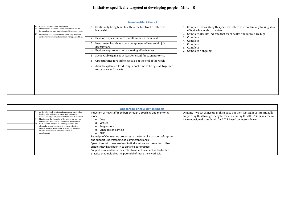<span id="page-9-1"></span><span id="page-9-0"></span>

|                                                                                                                                                                                                                                                                                   | <b>Team health - Mike - R</b>                                                                                                                                                                                                                                                                                                                                                                                                                                                           |                                                                                                                                                                                 |
|-----------------------------------------------------------------------------------------------------------------------------------------------------------------------------------------------------------------------------------------------------------------------------------|-----------------------------------------------------------------------------------------------------------------------------------------------------------------------------------------------------------------------------------------------------------------------------------------------------------------------------------------------------------------------------------------------------------------------------------------------------------------------------------------|---------------------------------------------------------------------------------------------------------------------------------------------------------------------------------|
| Healthy teams multiply intelligence.<br>➤<br>Many aspects of a normal team derail team health<br>➤<br>through the way they deal with conflict, manage time.<br>Leadership that supports team health is going to be<br>➤<br>central to maximising student achieving possibilities. | Continually bring team health to the forefront of effective<br>leadership.<br>Develop a questionnaire that illuminates team health<br>Insert team health as a core component of leadership job<br>3.<br>descriptions<br>4. Explore ways to maximise meeting effectiveness.<br>Social Club organises at least one staff function per term.<br>5.<br>6. Opportunities for staff to socialise at the end of the week.<br>Activities planned for during school time to bring staff together | 1. Complete. Book study tl<br>effective leadership prac<br>Complete. Results indica<br>Complete.<br>3.<br>Complete<br>Complete<br>5.<br>Complete<br>6.<br>7. Complete / ongoing |
|                                                                                                                                                                                                                                                                                   | to socialise and have fun.                                                                                                                                                                                                                                                                                                                                                                                                                                                              |                                                                                                                                                                                 |

<span id="page-9-2"></span>

|                                                                                                                                                                                                                                                                                                                                                                                                                                                                                                       | <b>Onboarding of new staff members</b>                                                                                                                                                                                                                                                                                                                                                                                                                                                                                                                                    |                                                                                          |
|-------------------------------------------------------------------------------------------------------------------------------------------------------------------------------------------------------------------------------------------------------------------------------------------------------------------------------------------------------------------------------------------------------------------------------------------------------------------------------------------------------|---------------------------------------------------------------------------------------------------------------------------------------------------------------------------------------------------------------------------------------------------------------------------------------------------------------------------------------------------------------------------------------------------------------------------------------------------------------------------------------------------------------------------------------------------------------------------|------------------------------------------------------------------------------------------|
| As the school roll continues to grow, and we develop<br>leaders who will take up opportunities in other<br>schools the regularity of new staff members increases.<br>Maintaining the strengths of the school can only be<br>maintained through effective onboarding systems.<br>With a school the size of Leamington there will<br>always be people coming and going so effective<br>onboarding will be essential to maintain previous<br>lessons learnt and to retell our stories of<br>development. | Induction of new staff members through a coaching and mentoring<br>model<br>$\mathsf{O}$<br>Cogs<br>Virtues<br>Progressions<br><b>O</b> Language of learning<br>o PLIC<br>Redesign of Onboarding processes in the form of a passport of capture<br>and support understanding of leamington tikanga.<br>Spend time with new teachers to find what we can learn from other<br>schools they have been in to enhance our practice.<br>Support new leaders in their roles to reflect on effective leadership<br>practice that multiplies the potential of those they work with | Ongoing - we set things up i<br>supporting this through ma<br>have redesigned completely |

this year was effective in continually talking about ctice 2022. Complete. Results include that team health and morale are high.

Ongoing - we set things up in this space but then lost sight of intentionally supporting this through many factors - including COVID. This is an area we have redesigned completely for 2021 based on lessons learnt.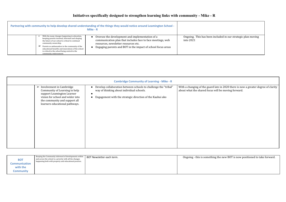# **Initiatives specifically designed to strengthen learning links with community - Mike - R**

<span id="page-11-1"></span><span id="page-11-0"></span>

|                                                                                                                                                                                                                                                                                                                                                                  | Partnering with community to help develop shared understanding of the things they would notice around Leamington School -<br>Mike - R                                                                                  |                                         |
|------------------------------------------------------------------------------------------------------------------------------------------------------------------------------------------------------------------------------------------------------------------------------------------------------------------------------------------------------------------|------------------------------------------------------------------------------------------------------------------------------------------------------------------------------------------------------------------------|-----------------------------------------|
| With the many changes happening in education,<br>keeping parents involved, informed and shaping<br>the future of our school is critical to continual<br>community ownership.<br>Parents as ambassadors to the community of the<br>educational benefits and innovations of the school<br>is critical to the school being central to the<br>community endorsement. | Oversee the development and implementation of a<br>communication plan that includes face to face meetings, web<br>resources, newsletter resources etc.<br>Engaging parents and BOT in the impact of school focus areas | Ongoing. This has been inc<br>into 2021 |

<span id="page-11-2"></span>

|                                                                                                                                                                                                                 | <b>Cambridge Community of Learning - Mike - R</b>                                                                                                                           |                                                                                                              |  |  |  |
|-----------------------------------------------------------------------------------------------------------------------------------------------------------------------------------------------------------------|-----------------------------------------------------------------------------------------------------------------------------------------------------------------------------|--------------------------------------------------------------------------------------------------------------|--|--|--|
| $\triangleright$ Involvement in Cambridge<br>Community of Learning to help<br>support Leamington Learner<br>vision for school and wider into<br>the community and support all<br>learners educational pathways. | • Develop collaboration between schools to challenge the "tribal"<br>way of thinking about individual schools.<br>Engagement with the strategic direction of the Kaahui ako | With a changing of the guard late in 2020 there is no<br>about what the shared focus will be moving forward. |  |  |  |

With a changing of the guard late in 2020 there is now a greater degree of clarity

g the new BOT is now positioned to take forward.

<span id="page-11-3"></span>

cluded in our strategic plan moving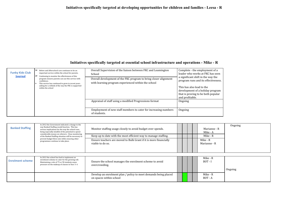<span id="page-13-0"></span>**Initiatives specifically targeted at developing opportunities for children and families - Leesa - R**

# **Initiatives specifically targeted at essential school infrastructure and operations - Mike - R**

<span id="page-13-2"></span><span id="page-13-1"></span>

| <b>Funky Kids Club</b><br><b>Journal</b> | Before and Afterschool care continues to be an<br>⋗<br>important service within the school for parents.<br>➤<br>Continuing to monitor the effectiveness of this<br>program ensures parents can use this service with<br>confidence.<br>This service has continued to grow in recent years<br>asking for a rethink of the way the FKC is supported<br>within the school | Overall Supervision of the liaison between FKC and Leamington<br>School<br>Overall development of the FKC program to bring closer alignment<br>with learning program experienced within the school | Complete - the employment of a<br>leader who works at FKC has seen<br>a significant shift in the way the<br>program runs and its effectiveness<br>This has also lead to the<br>development of a holiday program<br>that is proving to be both popular<br>and profitable. |
|------------------------------------------|------------------------------------------------------------------------------------------------------------------------------------------------------------------------------------------------------------------------------------------------------------------------------------------------------------------------------------------------------------------------|----------------------------------------------------------------------------------------------------------------------------------------------------------------------------------------------------|--------------------------------------------------------------------------------------------------------------------------------------------------------------------------------------------------------------------------------------------------------------------------|
|                                          |                                                                                                                                                                                                                                                                                                                                                                        | Appraisal of staff using a modified Progressions format                                                                                                                                            | Ongoing                                                                                                                                                                                                                                                                  |
|                                          |                                                                                                                                                                                                                                                                                                                                                                        | Employment of new staff members to cater for increasing numbers<br>of students.                                                                                                                    | Ongoing                                                                                                                                                                                                                                                                  |

<span id="page-13-3"></span>

| <b>Banked Staffing</b>  | In 2012 the Government indicated a change to the<br>way Banked Staffing would function. This has<br>serious implications for the way the school runs,<br>being especially mindful of the potential to spend<br>considerable money on relievers. Close monitoring | Monitor staffing usage closely to avoid budget over spends.                                |  |          | Marianne - R<br>Mike - A | Ongoing |  |  |
|-------------------------|------------------------------------------------------------------------------------------------------------------------------------------------------------------------------------------------------------------------------------------------------------------|--------------------------------------------------------------------------------------------|--|----------|--------------------------|---------|--|--|
|                         | of the Banked Staffing situation will be necessary to<br>prevent budget blow outs while ensuring other<br>programmes continue to take place.                                                                                                                     | Keep up to date with the most efficient way to manage staffing.                            |  | Mike - R |                          |         |  |  |
|                         |                                                                                                                                                                                                                                                                  | Ensure teachers are moved to Bulk Grant if it is more financially<br>viable to do so.      |  |          | Mike - R<br>Marianne - R |         |  |  |
|                         |                                                                                                                                                                                                                                                                  |                                                                                            |  |          |                          |         |  |  |
| <b>Enrolment scheme</b> | In 2012 the school has had to implement an<br>enrolment scheme to cater for the growing roll.<br>Maintaining a role of 75 or 90 students eases<br>pressure on the makeup of classes in Year 3-6                                                                  | Ensure the school manages the enrolment scheme to avoid<br>overcrowding.                   |  |          | Mike - R<br>$BOT-I$      | Ongoing |  |  |
|                         |                                                                                                                                                                                                                                                                  | Develop an enrolment plan / policy to meet demands being placed<br>on spaces within school |  |          | Mike - R<br>$BOT - A$    |         |  |  |

<span id="page-13-4"></span>

| <b>Enrolment scheme</b> | In 2012 the school has had to implement an<br>enrolment scheme to cater for the growing roll.<br>Maintaining a role of 75 or 90 students eases<br>pressure on the makeup of classes in Year 3-6 | Ensure the school manages the enrolment scheme to avoid<br>overcrowding.                   |  |  | Mike - R<br>$BOT-I$   |
|-------------------------|-------------------------------------------------------------------------------------------------------------------------------------------------------------------------------------------------|--------------------------------------------------------------------------------------------|--|--|-----------------------|
|                         |                                                                                                                                                                                                 | Develop an enrolment plan / policy to meet demands being placed<br>on spaces within school |  |  | Mike - R<br>$BOT - A$ |

ness. gram ılar